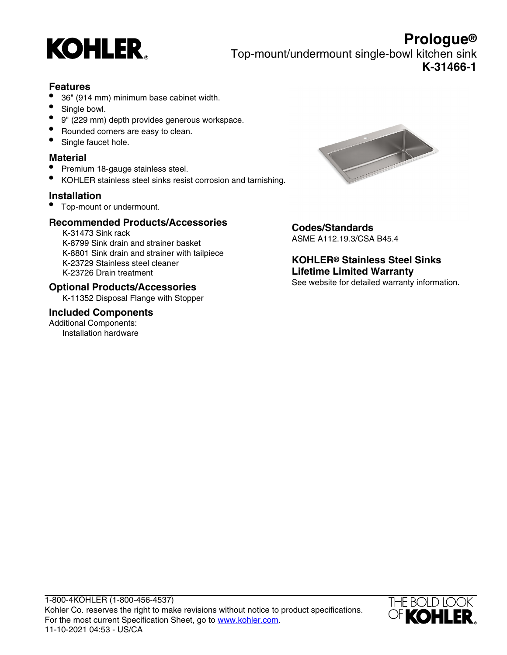

**Prologue®** Top-mount/undermount single-bowl kitchen sink **K-31466-1**

# **Features**

- 36" (914 mm) minimum base cabinet width.
- Single bowl.
- 9" (229 mm) depth provides generous workspace.
- Rounded corners are easy to clean.
- Single faucet hole.

#### **Material**

- Premium 18-gauge stainless steel.
- KOHLER stainless steel sinks resist corrosion and tarnishing.

### **Installation**

• Top-mount or undermount.

## **Recommended Products/Accessories**

K-31473 Sink rack K-8799 Sink drain and strainer basket K-8801 Sink drain and strainer with tailpiece K-23729 Stainless steel cleaner K-23726 Drain treatment

#### **Optional Products/Accessories**

K-11352 Disposal Flange with Stopper

#### **Included Components**

Additional Components: Installation hardware



#### **Codes/Standards** ASME A112.19.3/CSA B45.4

**KOHLER® Stainless Steel Sinks Lifetime Limited Warranty** See website for detailed warranty information.